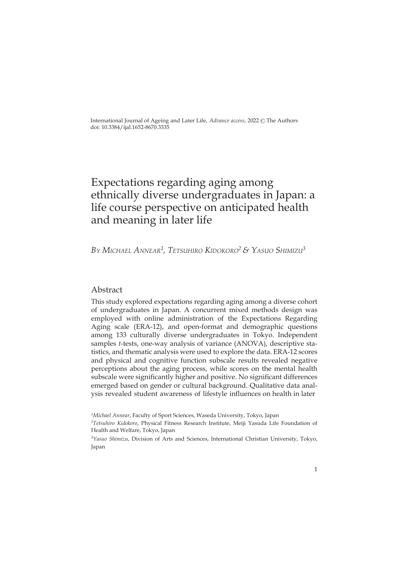International Journal of Ageing and Later Life, *Advance access*, 2022 © The Authors doi: 10.3384/ijal.1652-8670.3335

# Expectations regarding aging among ethnically diverse undergraduates in Japan: a life course perspective on anticipated health and meaning in later life

*By Michael annear<sup>1</sup> , TeTsuhiro KidoKoro<sup>2</sup>& yasuo shiMizu<sup>3</sup>*

# Abstract

This study explored expectations regarding aging among a diverse cohort of undergraduates in Japan. A concurrent mixed methods design was employed with online administration of the Expectations Regarding Aging scale (ERA-12), and open-format and demographic questions among 133 culturally diverse undergraduates in Tokyo. Independent samples *t*-tests, one-way analysis of variance (ANOVA), descriptive statistics, and thematic analysis were used to explore the data. ERA-12 scores and physical and cognitive function subscale results revealed negative perceptions about the aging process, while scores on the mental health subscale were significantly higher and positive. No significant differences emerged based on gender or cultural background. Qualitative data analysis revealed student awareness of lifestyle influences on health in later

*<sup>3</sup>Yasuo Shimizu*, Division of Arts and Sciences, International Christian University, Tokyo, Japan



*<sup>1</sup>Michael Annear*, Faculty of Sport Sciences, Waseda University, Tokyo, Japan

*<sup>2</sup>Tetsuhiro Kidokoro*, Physical Fitness Research Institute, Meiji Yasuda Life Foundation of Health and Welfare, Tokyo, Japan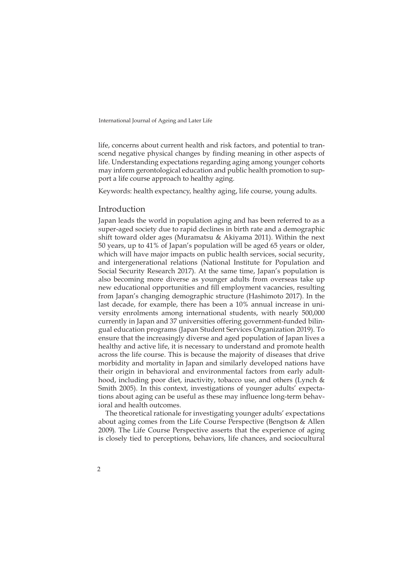life, concerns about current health and risk factors, and potential to transcend negative physical changes by finding meaning in other aspects of life. Understanding expectations regarding aging among younger cohorts may inform gerontological education and public health promotion to support a life course approach to healthy aging.

Keywords: health expectancy, healthy aging, life course, young adults.

#### Introduction

Japan leads the world in population aging and has been referred to as a super-aged society due to rapid declines in birth rate and a demographic shift toward older ages (Muramatsu & Akiyama 2011). Within the next 50 years, up to 41% of Japan's population will be aged 65 years or older, which will have major impacts on public health services, social security, and intergenerational relations (National Institute for Population and Social Security Research 2017). At the same time, Japan's population is also becoming more diverse as younger adults from overseas take up new educational opportunities and fill employment vacancies, resulting from Japan's changing demographic structure (Hashimoto 2017). In the last decade, for example, there has been a 10% annual increase in university enrolments among international students, with nearly 500,000 currently in Japan and 37 universities offering government-funded bilingual education programs (Japan Student Services Organization 2019). To ensure that the increasingly diverse and aged population of Japan lives a healthy and active life, it is necessary to understand and promote health across the life course. This is because the majority of diseases that drive morbidity and mortality in Japan and similarly developed nations have their origin in behavioral and environmental factors from early adulthood, including poor diet, inactivity, tobacco use, and others (Lynch & Smith 2005). In this context, investigations of younger adults' expectations about aging can be useful as these may influence long-term behavioral and health outcomes.

The theoretical rationale for investigating younger adults' expectations about aging comes from the Life Course Perspective (Bengtson & Allen 2009). The Life Course Perspective asserts that the experience of aging is closely tied to perceptions, behaviors, life chances, and sociocultural

 $\overline{2}$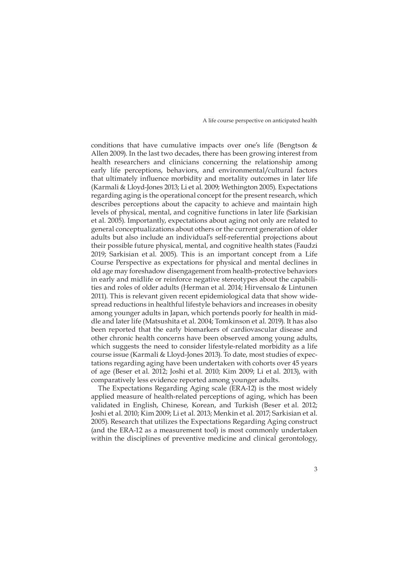conditions that have cumulative impacts over one's life (Bengtson & Allen 2009). In the last two decades, there has been growing interest from health researchers and clinicians concerning the relationship among early life perceptions, behaviors, and environmental/cultural factors that ultimately influence morbidity and mortality outcomes in later life (Karmali & Lloyd-Jones 2013; Li et al. 2009; Wethington 2005). Expectations regarding aging is the operational concept for the present research, which describes perceptions about the capacity to achieve and maintain high levels of physical, mental, and cognitive functions in later life (Sarkisian et al. 2005). Importantly, expectations about aging not only are related to general conceptualizations about others or the current generation of older adults but also include an individual's self-referential projections about their possible future physical, mental, and cognitive health states (Faudzi 2019; Sarkisian et al. 2005). This is an important concept from a Life Course Perspective as expectations for physical and mental declines in old age may foreshadow disengagement from health-protective behaviors in early and midlife or reinforce negative stereotypes about the capabilities and roles of older adults (Herman et al. 2014; Hirvensalo & Lintunen 2011). This is relevant given recent epidemiological data that show widespread reductions in healthful lifestyle behaviors and increases in obesity among younger adults in Japan, which portends poorly for health in middle and later life (Matsushita et al. 2004; Tomkinson et al. 2019). It has also been reported that the early biomarkers of cardiovascular disease and other chronic health concerns have been observed among young adults, which suggests the need to consider lifestyle-related morbidity as a life course issue (Karmali & Lloyd-Jones 2013). To date, most studies of expectations regarding aging have been undertaken with cohorts over 45 years of age (Beser et al. 2012; Joshi et al. 2010; Kim 2009; Li et al. 2013), with comparatively less evidence reported among younger adults.

The Expectations Regarding Aging scale (ERA-12) is the most widely applied measure of health-related perceptions of aging, which has been validated in English, Chinese, Korean, and Turkish (Beser et al. 2012; Joshi et al. 2010; Kim 2009; Li et al. 2013; Menkin et al. 2017; Sarkisian et al. 2005). Research that utilizes the Expectations Regarding Aging construct (and the ERA-12 as a measurement tool) is most commonly undertaken within the disciplines of preventive medicine and clinical gerontology,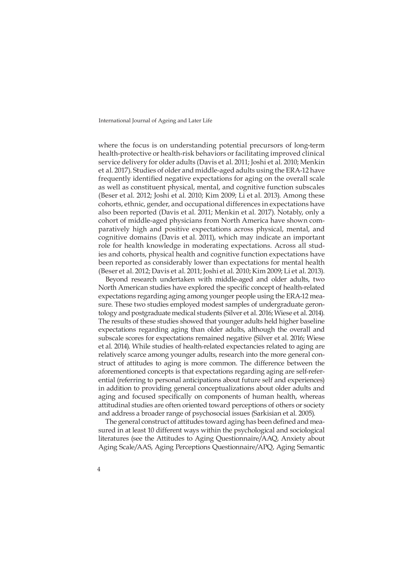where the focus is on understanding potential precursors of long-term health-protective or health-risk behaviors or facilitating improved clinical service delivery for older adults (Davis et al. 2011; Joshi et al. 2010; Menkin et al. 2017). Studies of older and middle-aged adults using the ERA-12 have frequently identified negative expectations for aging on the overall scale as well as constituent physical, mental, and cognitive function subscales (Beser et al. 2012; Joshi et al. 2010; Kim 2009; Li et al. 2013). Among these cohorts, ethnic, gender, and occupational differences in expectations have also been reported (Davis et al. 2011; Menkin et al. 2017). Notably, only a cohort of middle-aged physicians from North America have shown comparatively high and positive expectations across physical, mental, and cognitive domains (Davis et al. 2011), which may indicate an important role for health knowledge in moderating expectations. Across all studies and cohorts, physical health and cognitive function expectations have been reported as considerably lower than expectations for mental health (Beser et al. 2012; Davis et al. 2011; Joshi et al. 2010; Kim 2009; Li et al. 2013).

Beyond research undertaken with middle-aged and older adults, two North American studies have explored the specific concept of health-related expectations regarding aging among younger people using the ERA-12 measure. These two studies employed modest samples of undergraduate gerontology and postgraduate medical students (Silver et al. 2016; Wiese et al. 2014). The results of these studies showed that younger adults held higher baseline expectations regarding aging than older adults, although the overall and subscale scores for expectations remained negative (Silver et al. 2016; Wiese et al. 2014). While studies of health-related expectancies related to aging are relatively scarce among younger adults, research into the more general construct of attitudes to aging is more common. The difference between the aforementioned concepts is that expectations regarding aging are self-referential (referring to personal anticipations about future self and experiences) in addition to providing general conceptualizations about older adults and aging and focused specifically on components of human health, whereas attitudinal studies are often oriented toward perceptions of others or society and address a broader range of psychosocial issues (Sarkisian et al. 2005).

The general construct of attitudes toward aging has been defined and measured in at least 10 different ways within the psychological and sociological literatures (see the Attitudes to Aging Questionnaire/AAQ, Anxiety about Aging Scale/AAS, Aging Perceptions Questionnaire/APQ, Aging Semantic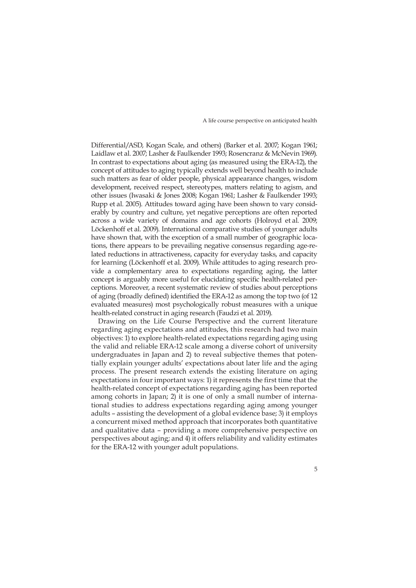Differential/ASD, Kogan Scale, and others) (Barker et al. 2007; Kogan 1961; Laidlaw et al. 2007; Lasher & Faulkender 1993; Rosencranz & McNevin 1969). In contrast to expectations about aging (as measured using the ERA-12), the concept of attitudes to aging typically extends well beyond health to include such matters as fear of older people, physical appearance changes, wisdom development, received respect, stereotypes, matters relating to agism, and other issues (Iwasaki & Jones 2008; Kogan 1961; Lasher & Faulkender 1993; Rupp et al. 2005). Attitudes toward aging have been shown to vary considerably by country and culture, yet negative perceptions are often reported across a wide variety of domains and age cohorts (Holroyd et al. 2009; Löckenhoff et al. 2009). International comparative studies of younger adults have shown that, with the exception of a small number of geographic locations, there appears to be prevailing negative consensus regarding age-related reductions in attractiveness, capacity for everyday tasks, and capacity for learning (Löckenhoff et al. 2009). While attitudes to aging research provide a complementary area to expectations regarding aging, the latter concept is arguably more useful for elucidating specific health-related perceptions. Moreover, a recent systematic review of studies about perceptions of aging (broadly defined) identified the ERA-12 as among the top two (of 12 evaluated measures) most psychologically robust measures with a unique health-related construct in aging research (Faudzi et al. 2019).

Drawing on the Life Course Perspective and the current literature regarding aging expectations and attitudes, this research had two main objectives: 1) to explore health-related expectations regarding aging using the valid and reliable ERA-12 scale among a diverse cohort of university undergraduates in Japan and 2) to reveal subjective themes that potentially explain younger adults' expectations about later life and the aging process. The present research extends the existing literature on aging expectations in four important ways: 1) it represents the first time that the health-related concept of expectations regarding aging has been reported among cohorts in Japan; 2) it is one of only a small number of international studies to address expectations regarding aging among younger adults – assisting the development of a global evidence base; 3) it employs a concurrent mixed method approach that incorporates both quantitative and qualitative data – providing a more comprehensive perspective on perspectives about aging; and 4) it offers reliability and validity estimates for the ERA-12 with younger adult populations.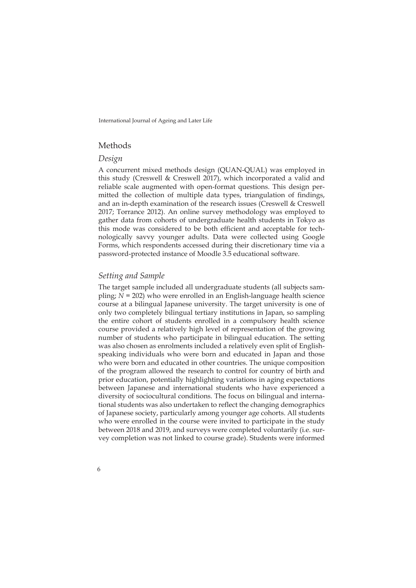# Methods

#### *Design*

A concurrent mixed methods design (QUAN-QUAL) was employed in this study (Creswell & Creswell 2017), which incorporated a valid and reliable scale augmented with open-format questions. This design permitted the collection of multiple data types, triangulation of findings, and an in-depth examination of the research issues (Creswell & Creswell 2017; Torrance 2012). An online survey methodology was employed to gather data from cohorts of undergraduate health students in Tokyo as this mode was considered to be both efficient and acceptable for technologically savvy younger adults. Data were collected using Google Forms, which respondents accessed during their discretionary time via a password-protected instance of Moodle 3.5 educational software.

#### *Setting and Sample*

The target sample included all undergraduate students (all subjects sampling; *N* = 202) who were enrolled in an English-language health science course at a bilingual Japanese university. The target university is one of only two completely bilingual tertiary institutions in Japan, so sampling the entire cohort of students enrolled in a compulsory health science course provided a relatively high level of representation of the growing number of students who participate in bilingual education. The setting was also chosen as enrolments included a relatively even split of Englishspeaking individuals who were born and educated in Japan and those who were born and educated in other countries. The unique composition of the program allowed the research to control for country of birth and prior education, potentially highlighting variations in aging expectations between Japanese and international students who have experienced a diversity of sociocultural conditions. The focus on bilingual and international students was also undertaken to reflect the changing demographics of Japanese society, particularly among younger age cohorts. All students who were enrolled in the course were invited to participate in the study between 2018 and 2019, and surveys were completed voluntarily (i.e. survey completion was not linked to course grade). Students were informed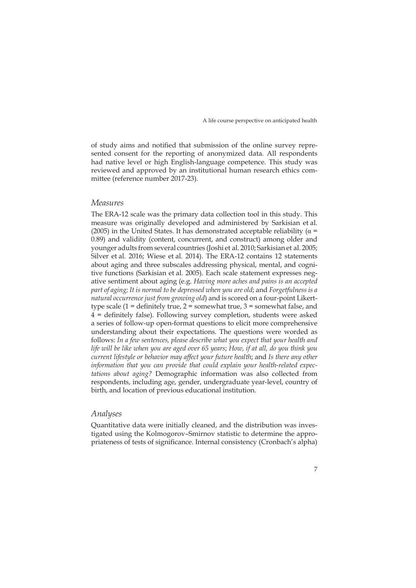of study aims and notified that submission of the online survey represented consent for the reporting of anonymized data. All respondents had native level or high English-language competence. This study was reviewed and approved by an institutional human research ethics committee (reference number 2017-23).

#### *Measures*

The ERA-12 scale was the primary data collection tool in this study. This measure was originally developed and administered by Sarkisian et al. (2005) in the United States. It has demonstrated acceptable reliability ( $\alpha$  = 0.89) and validity (content, concurrent, and construct) among older and younger adults from several countries (Joshi et al. 2010; Sarkisian et al. 2005; Silver et al. 2016; Wiese et al. 2014). The ERA-12 contains 12 statements about aging and three subscales addressing physical, mental, and cognitive functions (Sarkisian et al. 2005). Each scale statement expresses negative sentiment about aging (e.g. *Having more aches and pains is an accepted part of aging; It is normal to be depressed when you are old*; and *Forgetfulness is a natural occurrence just from growing old*) and is scored on a four-point Likerttype scale  $(1 =$  definitely true,  $2 =$  somewhat true,  $3 =$  somewhat false, and 4 = definitely false). Following survey completion, students were asked a series of follow-up open-format questions to elicit more comprehensive understanding about their expectations. The questions were worded as follows: *In a few sentences, please describe what you expect that your health and life will be like when you are aged over 65 years*; *How, if at all, do you think you current lifestyle or behavior may affect your future health*; and *Is there any other information that you can provide that could explain your health-related expectations about aging?* Demographic information was also collected from respondents, including age, gender, undergraduate year-level, country of birth, and location of previous educational institution.

# *Analyses*

Quantitative data were initially cleaned, and the distribution was investigated using the Kolmogorov–Smirnov statistic to determine the appropriateness of tests of significance. Internal consistency (Cronbach's alpha)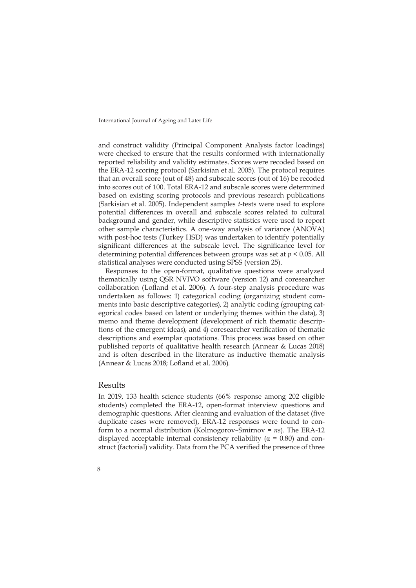and construct validity (Principal Component Analysis factor loadings) were checked to ensure that the results conformed with internationally reported reliability and validity estimates. Scores were recoded based on the ERA-12 scoring protocol (Sarkisian et al. 2005). The protocol requires that an overall score (out of 48) and subscale scores (out of 16) be recoded into scores out of 100. Total ERA-12 and subscale scores were determined based on existing scoring protocols and previous research publications (Sarkisian et al. 2005). Independent samples *t*-tests were used to explore potential differences in overall and subscale scores related to cultural background and gender, while descriptive statistics were used to report other sample characteristics. A one-way analysis of variance (ANOVA) with post-hoc tests (Turkey HSD) was undertaken to identify potentially significant differences at the subscale level. The significance level for determining potential differences between groups was set at *p* < 0.05. All statistical analyses were conducted using SPSS (version 25).

Responses to the open-format, qualitative questions were analyzed thematically using QSR NVIVO software (version 12) and coresearcher collaboration (Lofland et al. 2006). A four-step analysis procedure was undertaken as follows: 1) categorical coding (organizing student comments into basic descriptive categories), 2) analytic coding (grouping categorical codes based on latent or underlying themes within the data), 3) memo and theme development (development of rich thematic descriptions of the emergent ideas), and 4) coresearcher verification of thematic descriptions and exemplar quotations. This process was based on other published reports of qualitative health research (Annear & Lucas 2018) and is often described in the literature as inductive thematic analysis (Annear & Lucas 2018; Lofland et al. 2006).

#### Results

8

In 2019, 133 health science students (66% response among 202 eligible students) completed the ERA-12, open-format interview questions and demographic questions. After cleaning and evaluation of the dataset (five duplicate cases were removed), ERA-12 responses were found to conform to a normal distribution (Kolmogorov–Smirnov = *ns*). The ERA-12 displayed acceptable internal consistency reliability ( $\alpha$  = 0.80) and construct (factorial) validity. Data from the PCA verified the presence of three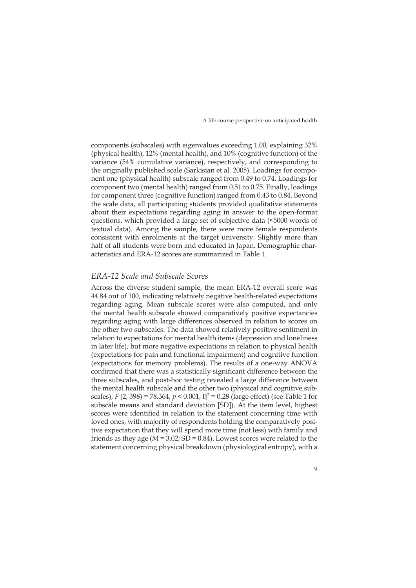components (subscales) with eigenvalues exceeding 1.00, explaining 32% (physical health), 12% (mental health), and 10% (cognitive function) of the variance (54% cumulative variance), respectively, and corresponding to the originally published scale (Sarkisian et al. 2005). Loadings for component one (physical health) subscale ranged from 0.49 to 0.74. Loadings for component two (mental health) ranged from 0.51 to 0.75. Finally, loadings for component three (cognitive function) ranged from 0.43 to 0.84. Beyond the scale data, all participating students provided qualitative statements about their expectations regarding aging in answer to the open-format questions, which provided a large set of subjective data (≈5000 words of textual data). Among the sample, there were more female respondents consistent with enrolments at the target university. Slightly more than half of all students were born and educated in Japan. Demographic characteristics and ERA-12 scores are summarized in Table 1.

#### *ERA-12 Scale and Subscale Scores*

Across the diverse student sample, the mean ERA-12 overall score was 44.84 out of 100, indicating relatively negative health-related expectations regarding aging. Mean subscale scores were also computed, and only the mental health subscale showed comparatively positive expectancies regarding aging with large differences observed in relation to scores on the other two subscales. The data showed relatively positive sentiment in relation to expectations for mental health items (depression and loneliness in later life), but more negative expectations in relation to physical health (expectations for pain and functional impairment) and cognitive function (expectations for memory problems). The results of a one-way ANOVA confirmed that there was a statistically significant difference between the three subscales, and post-hoc testing revealed a large difference between the mental health subscale and the other two (physical and cognitive subscales), *F* (2, 398) = 78.364,  $p < 0.001$ ,  $I_1^2 = 0.28$  (large effect) (see Table 1 for subscale means and standard deviation [SD]). At the item level, highest scores were identified in relation to the statement concerning time with loved ones, with majority of respondents holding the comparatively positive expectation that they will spend more time (not less) with family and friends as they age (*M* = 3.02; SD = 0.84). Lowest scores were related to the statement concerning physical breakdown (physiological entropy), with a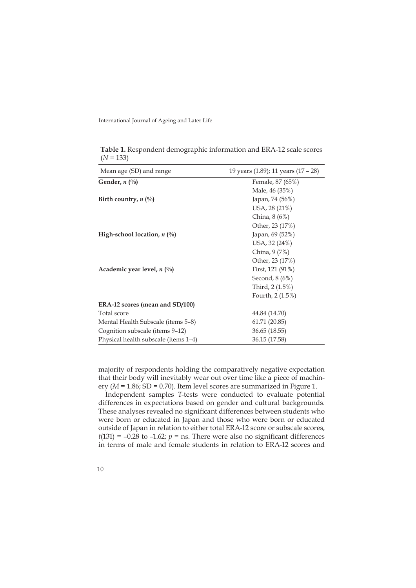| Mean age (SD) and range               | 19 years (1.89); 11 years (17 – 28) |
|---------------------------------------|-------------------------------------|
| Gender, $n \binom{0}{0}$              | Female, 87 (65%)                    |
|                                       | Male, 46 (35%)                      |
| Birth country, $n \binom{0}{0}$       | Japan, 74 (56%)                     |
|                                       | USA, 28 (21%)                       |
|                                       | China, 8 (6%)                       |
|                                       | Other, 23 (17%)                     |
| High-school location, $n$ (%)         | Japan, 69 (52%)                     |
|                                       | USA, 32 (24%)                       |
|                                       | China, 9 (7%)                       |
|                                       | Other, 23 (17%)                     |
| Academic year level, $n \binom{0}{0}$ | First, $121(91%)$                   |
|                                       | Second, $8(6%)$                     |
|                                       | Third, 2 (1.5%)                     |
|                                       | Fourth, $2(1.5%)$                   |
| ERA-12 scores (mean and SD/100)       |                                     |
| Total score                           | 44.84 (14.70)                       |
| Mental Health Subscale (items 5–8)    | 61.71 (20.85)                       |
| Cognition subscale (items 9-12)       | 36.65 (18.55)                       |
| Physical health subscale (items 1-4)  | 36.15 (17.58)                       |

**Table 1.** Respondent demographic information and ERA-12 scale scores  $(N = 133)$ 

majority of respondents holding the comparatively negative expectation that their body will inevitably wear out over time like a piece of machinery (*M* = 1.86; SD = 0.70). Item level scores are summarized in Figure 1.

Independent samples *T*-tests were conducted to evaluate potential differences in expectations based on gender and cultural backgrounds. These analyses revealed no significant differences between students who were born or educated in Japan and those who were born or educated outside of Japan in relation to either total ERA-12 score or subscale scores,  $t(131) = -0.28$  to  $-1.62$ ;  $p =$  ns. There were also no significant differences in terms of male and female students in relation to ERA-12 scores and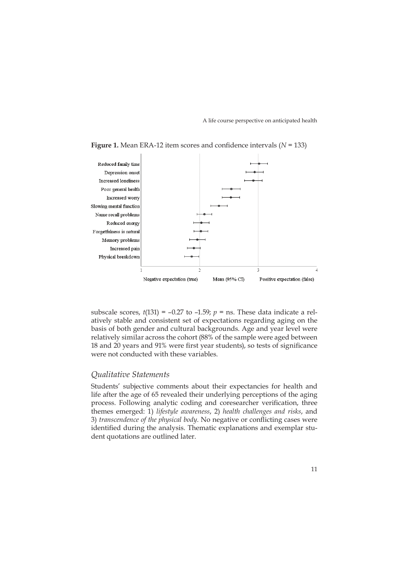

**Figure 1.** Mean ERA-12 item scores and confidence intervals (*N* = 133)

subscale scores,  $t(131) = -0.27$  to  $-1.59$ ;  $p =$  ns. These data indicate a relatively stable and consistent set of expectations regarding aging on the basis of both gender and cultural backgrounds. Age and year level were relatively similar across the cohort (88% of the sample were aged between 18 and 20 years and 91% were first year students), so tests of significance were not conducted with these variables.

# *Qualitative Statements*

Students' subjective comments about their expectancies for health and life after the age of 65 revealed their underlying perceptions of the aging process. Following analytic coding and coresearcher verification, three themes emerged: 1) *lifestyle awareness*, 2) *health challenges and risks*, and 3) *transcendence of the physical body*. No negative or conflicting cases were identified during the analysis. Thematic explanations and exemplar student quotations are outlined later.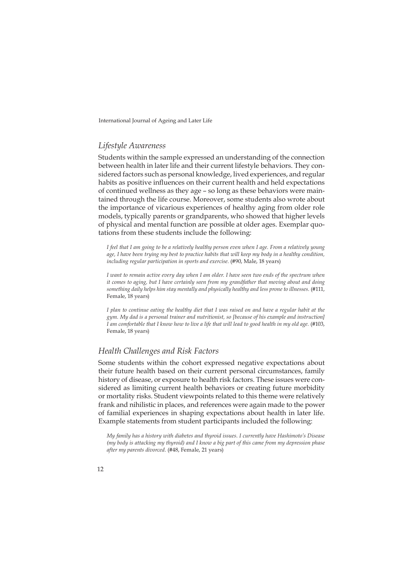#### *Lifestyle Awareness*

Students within the sample expressed an understanding of the connection between health in later life and their current lifestyle behaviors. They considered factors such as personal knowledge, lived experiences, and regular habits as positive influences on their current health and held expectations of continued wellness as they age – so long as these behaviors were maintained through the life course. Moreover, some students also wrote about the importance of vicarious experiences of healthy aging from older role models, typically parents or grandparents, who showed that higher levels of physical and mental function are possible at older ages. Exemplar quotations from these students include the following:

*I feel that I am going to be a relatively healthy person even when I age. From a relatively young age, I have been trying my best to practice habits that will keep my body in a healthy condition,*  including regular participation in sports and exercise. (#90, Male, 18 years)

*I want to remain active every day when I am older. I have seen two ends of the spectrum when it comes to aging, but I have certainly seen from my grandfather that moving about and doing something daily helps him stay mentally and physically healthy and less prone to illnesses.* (#111, Female, 18 years)

*I plan to continue eating the healthy diet that I was raised on and have a regular habit at the gym. My dad is a personal trainer and nutritionist, so [because of his example and instruction] I am comfortable that I know how to live a life that will lead to good health in my old age.* (#103, Female, 18 years)

# *Health Challenges and Risk Factors*

Some students within the cohort expressed negative expectations about their future health based on their current personal circumstances, family history of disease, or exposure to health risk factors. These issues were considered as limiting current health behaviors or creating future morbidity or mortality risks. Student viewpoints related to this theme were relatively frank and nihilistic in places, and references were again made to the power of familial experiences in shaping expectations about health in later life. Example statements from student participants included the following:

*My family has a history with diabetes and thyroid issues. I currently have Hashimoto's Disease (my body is attacking my thyroid) and I know a big part of this came from my depression phase after my parents divorced.* (#48, Female, 21 years)

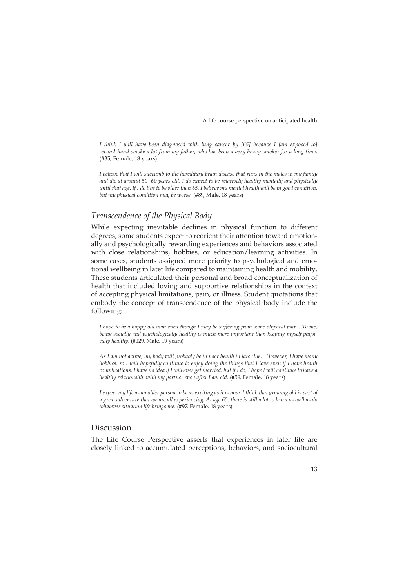*I think I will have been diagnosed with lung cancer by [65] because I [am exposed to] second-hand smoke a lot from my father, who has been a very heavy smoker for a long time.*  (#35, Female, 18 years)

*I believe that I will succumb to the hereditary brain disease that runs in the males in my family and die at around 50–60 years old. I do expect to be relatively healthy mentally and physically until that age. If I do live to be older than 65, I believe my mental health will be in good condition, but my physical condition may be worse.* (#89, Male, 18 years)

#### *Transcendence of the Physical Body*

While expecting inevitable declines in physical function to different degrees, some students expect to reorient their attention toward emotionally and psychologically rewarding experiences and behaviors associated with close relationships, hobbies, or education/learning activities. In some cases, students assigned more priority to psychological and emotional wellbeing in later life compared to maintaining health and mobility. These students articulated their personal and broad conceptualization of health that included loving and supportive relationships in the context of accepting physical limitations, pain, or illness. Student quotations that embody the concept of transcendence of the physical body include the following:

*I hope to be a happy old man even though I may be suffering from some physical pain…To me, being socially and psychologically healthy is much more important than keeping myself physically healthy.* (#129, Male, 19 years)

*As I am not active, my body will probably be in poor health in later life…However, I have many hobbies, so I will hopefully continue to enjoy doing the things that I love even if I have health complications. I have no idea if I will ever get married, but if I do, I hope I will continue to have a healthy relationship with my partner even after I am old.* (#59, Female, 18 years)

*I expect my life as an older person to be as exciting as it is now. I think that growing old is part of a great adventure that we are all experiencing. At age 65, there is still a lot to learn as well as do whatever situation life brings me.* (#97, Female, 18 years)

## Discussion

The Life Course Perspective asserts that experiences in later life are closely linked to accumulated perceptions, behaviors, and sociocultural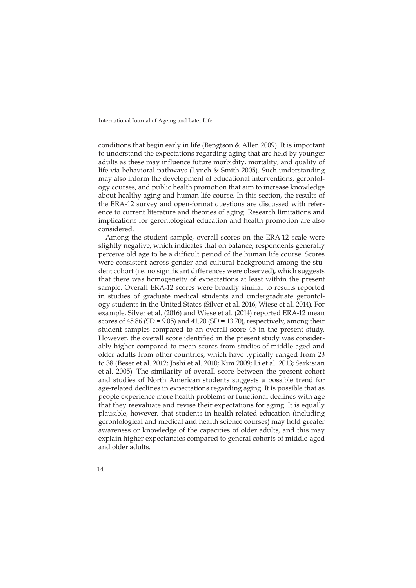conditions that begin early in life (Bengtson & Allen 2009). It is important to understand the expectations regarding aging that are held by younger adults as these may influence future morbidity, mortality, and quality of life via behavioral pathways (Lynch & Smith 2005). Such understanding may also inform the development of educational interventions, gerontology courses, and public health promotion that aim to increase knowledge about healthy aging and human life course. In this section, the results of the ERA-12 survey and open-format questions are discussed with reference to current literature and theories of aging. Research limitations and implications for gerontological education and health promotion are also considered.

Among the student sample, overall scores on the ERA-12 scale were slightly negative, which indicates that on balance, respondents generally perceive old age to be a difficult period of the human life course. Scores were consistent across gender and cultural background among the student cohort (i.e. no significant differences were observed), which suggests that there was homogeneity of expectations at least within the present sample. Overall ERA-12 scores were broadly similar to results reported in studies of graduate medical students and undergraduate gerontology students in the United States (Silver et al. 2016; Wiese et al. 2014). For example, Silver et al. (2016) and Wiese et al. (2014) reported ERA-12 mean scores of  $45.86$  (SD =  $9.05$ ) and  $41.20$  (SD =  $13.70$ ), respectively, among their student samples compared to an overall score 45 in the present study. However, the overall score identified in the present study was considerably higher compared to mean scores from studies of middle-aged and older adults from other countries, which have typically ranged from 23 to 38 (Beser et al. 2012; Joshi et al. 2010; Kim 2009; Li et al. 2013; Sarkisian et al. 2005). The similarity of overall score between the present cohort and studies of North American students suggests a possible trend for age-related declines in expectations regarding aging. It is possible that as people experience more health problems or functional declines with age that they reevaluate and revise their expectations for aging. It is equally plausible, however, that students in health-related education (including gerontological and medical and health science courses) may hold greater awareness or knowledge of the capacities of older adults, and this may explain higher expectancies compared to general cohorts of middle-aged and older adults.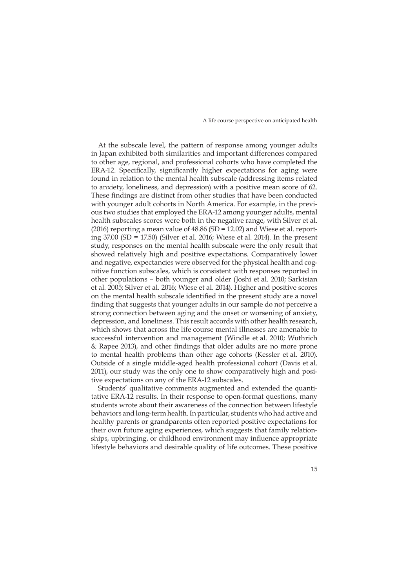At the subscale level, the pattern of response among younger adults in Japan exhibited both similarities and important differences compared to other age, regional, and professional cohorts who have completed the ERA-12. Specifically, significantly higher expectations for aging were found in relation to the mental health subscale (addressing items related to anxiety, loneliness, and depression) with a positive mean score of 62. These findings are distinct from other studies that have been conducted with younger adult cohorts in North America. For example, in the previous two studies that employed the ERA-12 among younger adults, mental health subscales scores were both in the negative range, with Silver et al. (2016) reporting a mean value of 48.86 (SD = 12.02) and Wiese et al. reporting 37.00 (SD = 17.50) (Silver et al. 2016; Wiese et al. 2014). In the present study, responses on the mental health subscale were the only result that showed relatively high and positive expectations. Comparatively lower and negative, expectancies were observed for the physical health and cognitive function subscales, which is consistent with responses reported in other populations – both younger and older (Joshi et al. 2010; Sarkisian et al. 2005; Silver et al. 2016; Wiese et al. 2014). Higher and positive scores on the mental health subscale identified in the present study are a novel finding that suggests that younger adults in our sample do not perceive a strong connection between aging and the onset or worsening of anxiety, depression, and loneliness. This result accords with other health research, which shows that across the life course mental illnesses are amenable to successful intervention and management (Windle et al. 2010; Wuthrich & Rapee 2013), and other findings that older adults are no more prone to mental health problems than other age cohorts (Kessler et al. 2010). Outside of a single middle-aged health professional cohort (Davis et al. 2011), our study was the only one to show comparatively high and positive expectations on any of the ERA-12 subscales.

Students' qualitative comments augmented and extended the quantitative ERA-12 results. In their response to open-format questions, many students wrote about their awareness of the connection between lifestyle behaviors and long-term health. In particular, students who had active and healthy parents or grandparents often reported positive expectations for their own future aging experiences, which suggests that family relationships, upbringing, or childhood environment may influence appropriate lifestyle behaviors and desirable quality of life outcomes. These positive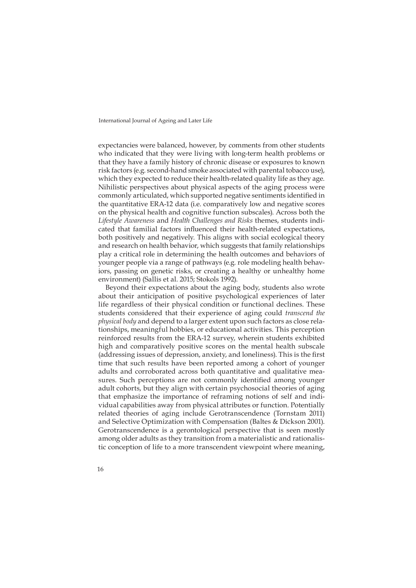expectancies were balanced, however, by comments from other students who indicated that they were living with long-term health problems or that they have a family history of chronic disease or exposures to known risk factors (e.g. second-hand smoke associated with parental tobacco use), which they expected to reduce their health-related quality life as they age. Nihilistic perspectives about physical aspects of the aging process were commonly articulated, which supported negative sentiments identified in the quantitative ERA-12 data (i.e. comparatively low and negative scores on the physical health and cognitive function subscales). Across both the *Lifestyle Awareness* and *Health Challenges and Risks* themes, students indicated that familial factors influenced their health-related expectations, both positively and negatively. This aligns with social ecological theory and research on health behavior, which suggests that family relationships play a critical role in determining the health outcomes and behaviors of younger people via a range of pathways (e.g. role modeling health behaviors, passing on genetic risks, or creating a healthy or unhealthy home environment) (Sallis et al. 2015; Stokols 1992).

Beyond their expectations about the aging body, students also wrote about their anticipation of positive psychological experiences of later life regardless of their physical condition or functional declines. These students considered that their experience of aging could *transcend the physical body* and depend to a larger extent upon such factors as close relationships, meaningful hobbies, or educational activities. This perception reinforced results from the ERA-12 survey, wherein students exhibited high and comparatively positive scores on the mental health subscale (addressing issues of depression, anxiety, and loneliness). This is the first time that such results have been reported among a cohort of younger adults and corroborated across both quantitative and qualitative measures. Such perceptions are not commonly identified among younger adult cohorts, but they align with certain psychosocial theories of aging that emphasize the importance of reframing notions of self and individual capabilities away from physical attributes or function. Potentially related theories of aging include Gerotranscendence (Tornstam 2011) and Selective Optimization with Compensation (Baltes & Dickson 2001). Gerotranscendence is a gerontological perspective that is seen mostly among older adults as they transition from a materialistic and rationalistic conception of life to a more transcendent viewpoint where meaning,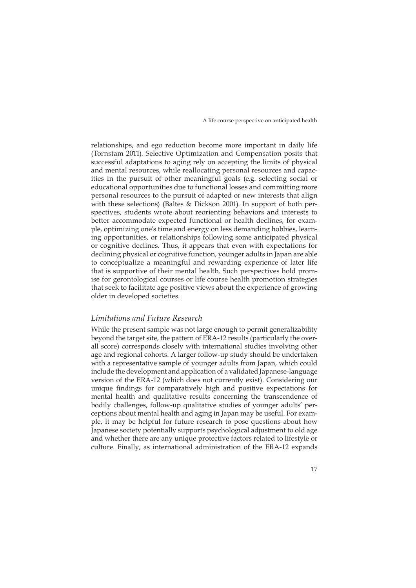relationships, and ego reduction become more important in daily life (Tornstam 2011). Selective Optimization and Compensation posits that successful adaptations to aging rely on accepting the limits of physical and mental resources, while reallocating personal resources and capacities in the pursuit of other meaningful goals (e.g. selecting social or educational opportunities due to functional losses and committing more personal resources to the pursuit of adapted or new interests that align with these selections) (Baltes & Dickson 2001). In support of both perspectives, students wrote about reorienting behaviors and interests to better accommodate expected functional or health declines, for example, optimizing one's time and energy on less demanding hobbies, learning opportunities, or relationships following some anticipated physical or cognitive declines. Thus, it appears that even with expectations for declining physical or cognitive function, younger adults in Japan are able to conceptualize a meaningful and rewarding experience of later life that is supportive of their mental health. Such perspectives hold promise for gerontological courses or life course health promotion strategies that seek to facilitate age positive views about the experience of growing older in developed societies.

# *Limitations and Future Research*

While the present sample was not large enough to permit generalizability beyond the target site, the pattern of ERA-12 results (particularly the overall score) corresponds closely with international studies involving other age and regional cohorts. A larger follow-up study should be undertaken with a representative sample of younger adults from Japan, which could include the development and application of a validated Japanese-language version of the ERA-12 (which does not currently exist). Considering our unique findings for comparatively high and positive expectations for mental health and qualitative results concerning the transcendence of bodily challenges, follow-up qualitative studies of younger adults' perceptions about mental health and aging in Japan may be useful. For example, it may be helpful for future research to pose questions about how Japanese society potentially supports psychological adjustment to old age and whether there are any unique protective factors related to lifestyle or culture. Finally, as international administration of the ERA-12 expands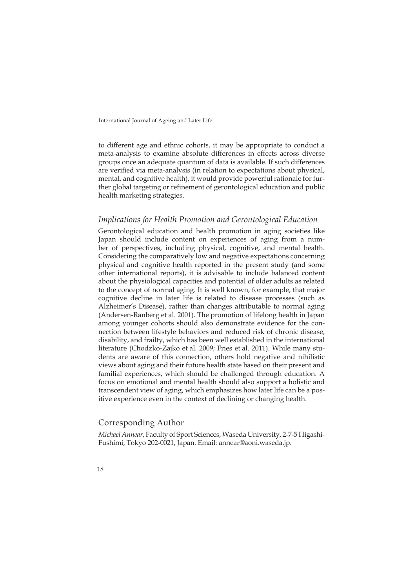to different age and ethnic cohorts, it may be appropriate to conduct a meta-analysis to examine absolute differences in effects across diverse groups once an adequate quantum of data is available. If such differences are verified via meta-analysis (in relation to expectations about physical, mental, and cognitive health), it would provide powerful rationale for further global targeting or refinement of gerontological education and public health marketing strategies.

# *Implications for Health Promotion and Gerontological Education*

Gerontological education and health promotion in aging societies like Japan should include content on experiences of aging from a number of perspectives, including physical, cognitive, and mental health. Considering the comparatively low and negative expectations concerning physical and cognitive health reported in the present study (and some other international reports), it is advisable to include balanced content about the physiological capacities and potential of older adults as related to the concept of normal aging. It is well known, for example, that major cognitive decline in later life is related to disease processes (such as Alzheimer's Disease), rather than changes attributable to normal aging (Andersen-Ranberg et al. 2001). The promotion of lifelong health in Japan among younger cohorts should also demonstrate evidence for the connection between lifestyle behaviors and reduced risk of chronic disease, disability, and frailty, which has been well established in the international literature (Chodzko-Zajko et al. 2009; Fries et al. 2011). While many students are aware of this connection, others hold negative and nihilistic views about aging and their future health state based on their present and familial experiences, which should be challenged through education. A focus on emotional and mental health should also support a holistic and transcendent view of aging, which emphasizes how later life can be a positive experience even in the context of declining or changing health.

# Corresponding Author

*Michael Annear*, Faculty of Sport Sciences, Waseda University, 2-7-5 Higashi-Fushimi, Tokyo 202-0021, Japan. Email: [annear@aoni.waseda.jp.](mailto:annear@aoni.waseda.jp)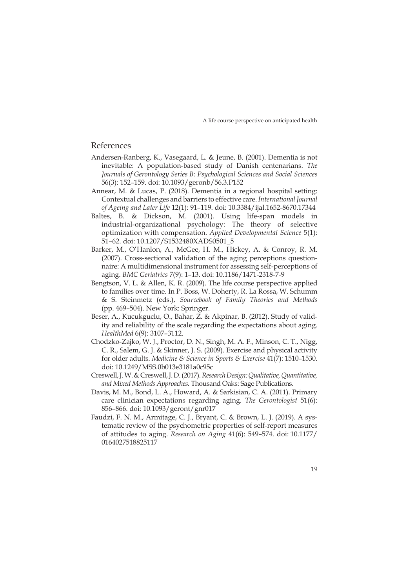# References

- Andersen-Ranberg, K., Vasegaard, L. & Jeune, B. (2001). Dementia is not inevitable: A population-based study of Danish centenarians. *The Journals of Gerontology Series B: Psychological Sciences and Social Sciences*  56(3): 152–159. doi: 10.1093/geronb/56.3.P152
- Annear, M. & Lucas, P. (2018). Dementia in a regional hospital setting: Contextual challenges and barriers to effective care. *International Journal of Ageing and Later Life* 12(1): 91–119. doi: 10.3384/ijal.1652-8670.17344
- Baltes, B. & Dickson, M. (2001). Using life-span models in industrial-organizational psychology: The theory of selective optimization with compensation. *Applied Developmental Science* 5(1): 51–62. doi: 10.1207/S1532480XADS0501\_5
- Barker, M., O'Hanlon, A., McGee, H. M., Hickey, A. & Conroy, R. M. (2007). Cross-sectional validation of the aging perceptions questionnaire: A multidimensional instrument for assessing self-perceptions of aging. *BMC Geriatrics* 7(9): 1–13. doi: 10.1186/1471-2318-7-9
- Bengtson, V. L. & Allen, K. R. (2009). The life course perspective applied to families over time. In P. Boss, W. Doherty, R. La Rossa, W. Schumm & S. Steinmetz (eds.), *Sourcebook of Family Theories and Methods* (pp. 469–504). New York: Springer.
- Beser, A., Kucukguclu, O., Bahar, Z. & Akpinar, B. (2012). Study of validity and reliability of the scale regarding the expectations about aging. *HealthMed* 6(9): 3107–3112.
- Chodzko-Zajko, W. J., Proctor, D. N., Singh, M. A. F., Minson, C. T., Nigg, C. R., Salem, G. J. & Skinner, J. S. (2009). Exercise and physical activity for older adults. *Medicine & Science in Sports & Exercise* 41(7): 1510–1530. doi: 10.1249/MSS.0b013e3181a0c95c
- Creswell, J. W. & Creswell, J. D. (2017). *Research Design: Qualitative, Quantitative, and Mixed Methods Approaches.* Thousand Oaks: Sage Publications.
- Davis, M. M., Bond, L. A., Howard, A. & Sarkisian, C. A. (2011). Primary care clinician expectations regarding aging. *The Gerontologist* 51(6): 856–866. doi: 10.1093/geront/gnr017
- Faudzi, F. N. M., Armitage, C. J., Bryant, C. & Brown, L. J. (2019). A systematic review of the psychometric properties of self-report measures of attitudes to aging. *Research on Aging* 41(6): 549–574. doi: 10.1177/ 0164027518825117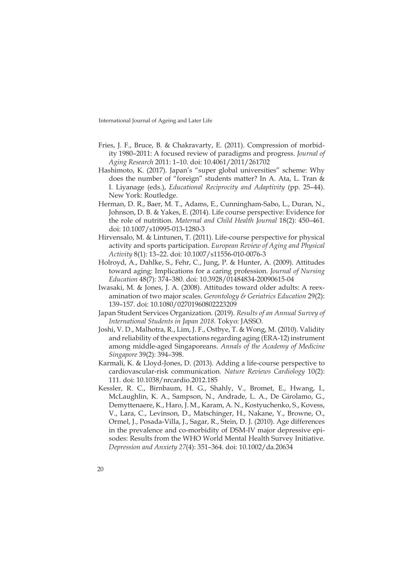- Fries, J. F., Bruce, B. & Chakravarty, E. (2011). Compression of morbidity 1980–2011: A focused review of paradigms and progress. *Journal of Aging Research* 2011: 1–10. doi: 10.4061/2011/261702
- Hashimoto, K. (2017). Japan's "super global universities" scheme: Why does the number of "foreign" students matter? In A. Ata, L. Tran & I. Liyanage (eds.), *Educational Reciprocity and Adaptivity* (pp. 25–44). New York: Routledge.
- Herman, D. R., Baer, M. T., Adams, E., Cunningham-Sabo, L., Duran, N., Johnson, D. B. & Yakes, E. (2014). Life course perspective: Evidence for the role of nutrition. *Maternal and Child Health Journal* 18(2): 450–461. doi: 10.1007/s10995-013-1280-3
- Hirvensalo, M. & Lintunen, T. (2011). Life-course perspective for physical activity and sports participation. *European Review of Aging and Physical Activity* 8(1): 13–22. doi: 10.1007/s11556-010-0076-3
- Holroyd, A., Dahlke, S., Fehr, C., Jung, P. & Hunter, A. (2009). Attitudes toward aging: Implications for a caring profession. *Journal of Nursing Education* 48(7): 374–380. doi: 10.3928/01484834-20090615-04
- Iwasaki, M. & Jones, J. A. (2008). Attitudes toward older adults: A reexamination of two major scales. *Gerontology & Geriatrics Education* 29(2): 139–157. doi: 10.1080/02701960802223209
- Japan Student Services Organization. (2019). *Results of an Annual Survey of International Students in Japan 2018*. Tokyo: JASSO.
- Joshi, V. D., Malhotra, R., Lim, J. F., Ostbye, T. & Wong, M. (2010). Validity and reliability of the expectations regarding aging (ERA-12) instrument among middle-aged Singaporeans. *Annals of the Academy of Medicine Singapore* 39(2): 394–398.
- Karmali, K. & Lloyd-Jones, D. (2013). Adding a life-course perspective to cardiovascular-risk communication. *Nature Reviews Cardiology* 10(2): 111. doi: 10.1038/nrcardio.2012.185
- Kessler, R. C., Birnbaum, H. G., Shahly, V., Bromet, E., Hwang, I., McLaughlin, K. A., Sampson, N., Andrade, L. A., De Girolamo, G., Demyttenaere, K., Haro, J. M., Karam, A. N., Kostyuchenko, S., Kovess, V., Lara, C., Levinson, D., Matschinger, H., Nakane, Y., Browne, O., Ormel, J., Posada-Villa, J., Sagar, R., Stein, D. J. (2010). Age differences in the prevalence and co-morbidity of DSM-IV major depressive episodes: Results from the WHO World Mental Health Survey Initiative. *Depression and Anxiety 27*(4): 351–364. doi: 10.1002/da.20634
- 20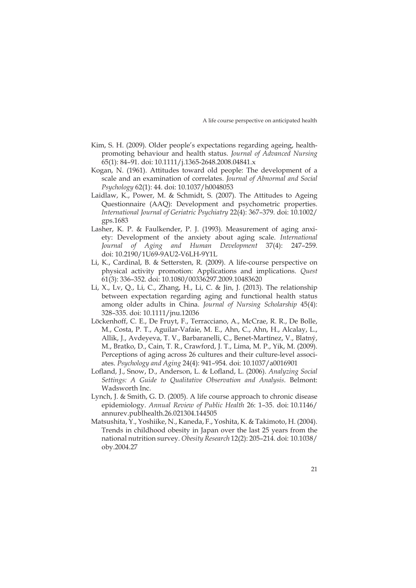- Kim, S. H. (2009). Older people's expectations regarding ageing, healthpromoting behaviour and health status. *Journal of Advanced Nursing*  65(1): 84–91. doi: 10.1111/j.1365-2648.2008.04841.x
- Kogan, N. (1961). Attitudes toward old people: The development of a scale and an examination of correlates. *Journal of Abnormal and Social Psychology* 62(1): 44. doi: 10.1037/h0048053
- Laidlaw, K., Power, M. & Schmidt, S. (2007). The Attitudes to Ageing Questionnaire (AAQ): Development and psychometric properties. *International Journal of Geriatric Psychiatry* 22(4): 367–379. doi: 10.1002/ gps.1683
- Lasher, K. P. & Faulkender, P. J. (1993). Measurement of aging anxiety: Development of the anxiety about aging scale. *International Journal of Aging and Human Development* 37(4): 247–259. doi: 10.2190/1U69-9AU2-V6LH-9Y1L
- Li, K., Cardinal, B. & Settersten, R. (2009). A life-course perspective on physical activity promotion: Applications and implications. *Quest* 61(3): 336–352. doi: 10.1080/00336297.2009.10483620
- Li, X., Lv, Q., Li, C., Zhang, H., Li, C. & Jin, J. (2013). The relationship between expectation regarding aging and functional health status among older adults in China. *Journal of Nursing Scholarship* 45(4): 328–335. doi: 10.1111/jnu.12036
- Löckenhoff, C. E., De Fruyt, F., Terracciano, A., McCrae, R. R., De Bolle, M., Costa, P. T., Aguilar-Vafaie, M. E., Ahn, C., Ahn, H., Alcalay, L., Allik, J., Avdeyeva, T. V., Barbaranelli, C., Benet-Martínez, V., Blatný, M., Bratko, D., Cain, T. R., Crawford, J. T., Lima, M. P., Yik, M. (2009). Perceptions of aging across 26 cultures and their culture-level associates. *Psychology and Aging* 24(4): 941–954. doi: 10.1037/a0016901
- Lofland, J., Snow, D., Anderson, L. & Lofland, L. (2006). *Analyzing Social Settings: A Guide to Qualitative Observation and Analysis*. Belmont: Wadsworth Inc.
- Lynch, J. & Smith, G. D. (2005). A life course approach to chronic disease epidemiology. *Annual Review of Public Health* 26: 1–35. doi: 10.1146/ annurev.publhealth.26.021304.144505
- Matsushita, Y., Yoshiike, N., Kaneda, F., Yoshita, K. & Takimoto, H. (2004). Trends in childhood obesity in Japan over the last 25 years from the national nutrition survey. *Obesity Research* 12(2): 205–214. doi: 10.1038/ oby.2004.27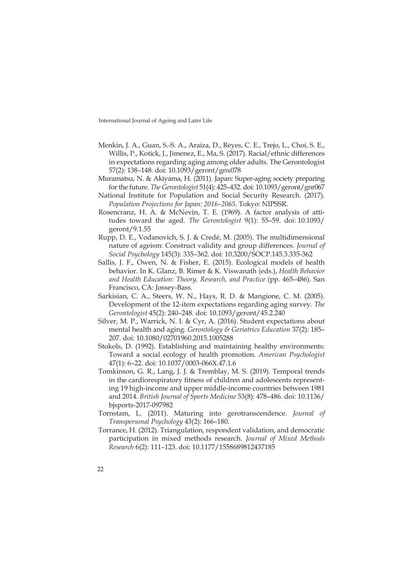- Menkin, J. A., Guan, S.-S. A., Araiza, D., Reyes, C. E., Trejo, L., Choi, S. E., Willis, P., Kotick, J., Jimenez, E., Ma, S. (2017). Racial/ethnic differences in expectations regarding aging among older adults. The Gerontologist 57(2): 138–148. doi: 10.1093/geront/gnx078
- Muramatsu, N. & Akiyama, H. (2011). Japan: Super-aging society preparing for the future. *The Gerontologist* 51(4): 425–432. doi: 10.1093/geront/gnr067
- National Institute for Population and Social Security Research. (2017). *Population Projections for Japan: 2016–2065*. Tokyo: NIPSSR.
- Rosencranz, H. A. & McNevin, T. E. (1969). A factor analysis of attitudes toward the aged. *The Gerontologist* 9(1): 55–59. doi: 10.1093/ geront/9.1.55
- Rupp, D. E., Vodanovich, S. J. & Credé, M. (2005). The multidimensional nature of ageism: Construct validity and group differences. *Journal of Social Psychology* 145(3): 335–362. doi: 10.3200/SOCP.145.3.335-362
- Sallis, J. F., Owen, N. & Fisher, E. (2015). Ecological models of health behavior. In K. Glanz, B. Rimer & K. Viswanath (eds.), *Health Behavior and Health Education: Theory, Research, and Practice* (pp. 465–486). San Francisco, CA: Jossey-Bass.
- Sarkisian, C. A., Steers, W. N., Hays, R. D. & Mangione, C. M. (2005). Development of the 12-item expectations regarding aging survey. *The Gerontologist* 45(2): 240–248. doi: 10.1093/geront/45.2.240
- Silver, M. P., Warrick, N. I. & Cyr, A. (2016). Student expectations about mental health and aging. *Gerontology & Geriatrics Education* 37(2): 185– 207. doi: 10.1080/02701960.2015.1005288
- Stokols, D. (1992). Establishing and maintaining healthy environments: Toward a social ecology of health promotion. *American Psychologist*  47(1): 6–22. doi: 10.1037/0003-066X.47.1.6
- Tomkinson, G. R., Lang, J. J. & Tremblay, M. S. (2019). Temporal trends in the cardiorespiratory fitness of children and adolescents representing 19 high-income and upper middle-income countries between 1981 and 2014. *British Journal of Sports Medicine* 53(8): 478–486. doi: 10.1136/ bjsports-2017-097982
- Tornstam, L. (2011). Maturing into gerotranscendence. *Journal of Transpersonal Psychology* 43(2): 166–180.
- Torrance, H. (2012). Triangulation, respondent validation, and democratic participation in mixed methods research. *Journal of Mixed Methods Research* 6(2): 111–123. doi: 10.1177/1558689812437185
- $22$